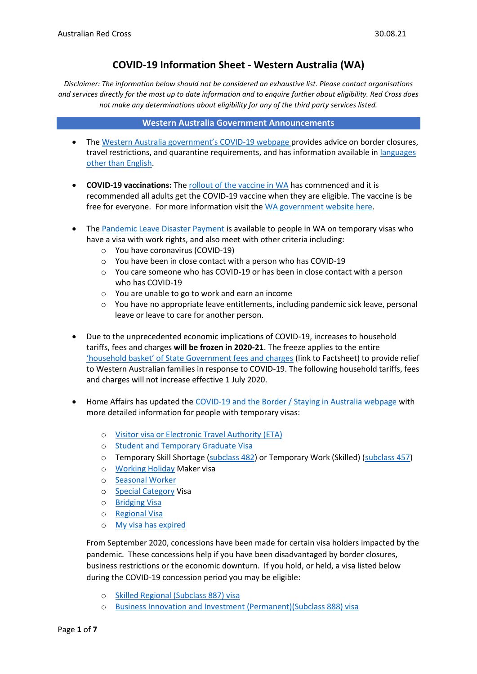# **COVID-19 Information Sheet - Western Australia (WA)**

*Disclaimer: The information below should not be considered an exhaustive list. Please contact organisations and services directly for the most up to date information and to enquire further about eligibility. Red Cross does not make any determinations about eligibility for any of the third party services listed.* 

#### **Western Australia Government Announcements**

- The [Western Australia government](https://www.wa.gov.au/government/covid-19-coronavirus)'s COVID-19 webpage provides advice on border closures, travel restrictions, and quarantine requirements, and has information available in *languages* [other than English.](https://www.wa.gov.au/organisation/department-of-the-premier-and-cabinet/covid-19-coronavirus-advice-other-languages)
- **COVID-19 vaccinations:** The [rollout of the vaccine in](https://rollup.wa.gov.au/) WA has commenced and it is recommended all adults get the COVID-19 vaccine when they are eligible. The vaccine is be free for everyone. For more information visit th[e WA government website here.](https://www.wa.gov.au/organisation/covid-communications/covid-19-coronavirus-vaccines)
- The [Pandemic Leave Disaster Payment](https://www.servicesaustralia.gov.au/individuals/services/centrelink/pandemic-leave-disaster-payment-western-australia/who-can-get-it) is available to people in WA on temporary visas who have a visa with work rights, and also meet with other criteria including:
	- o You have coronavirus (COVID-19)
	- o You have been in close contact with a person who has COVID-19
	- o You care someone who has COVID-19 or has been in close contact with a person who has COVID-19
	- o You are unable to go to work and earn an income
	- $\circ$  You have no appropriate leave entitlements, including pandemic sick leave, personal leave or leave to care for another person.
- Due to the unprecedented economic implications of COVID-19, increases to household tariffs, fees and charges **will be frozen in 2020-21**. The freeze applies to the entire ['household basket' of State Government fees and charges](https://www.wa.gov.au/sites/default/files/2020-04/covid-19-state-government-support-for-households-fact-sheet.pdf) (link to Factsheet) to provide relief to Western Australian families in response to COVID-19. The following household tariffs, fees and charges will not increase effective 1 July 2020.
- Home Affairs has updated the [COVID-19 and the Border / Staying in Australia webpage](https://covid19.homeaffairs.gov.au/staying-australia#13) with more detailed information for people with temporary visas:
	- o [Visitor visa or Electronic Travel Authority \(ETA\)](https://covid19.homeaffairs.gov.au/visitor-visa-or-electronic-travel-authority-eta)
	- o [Student and Temporary Graduate Visa](https://covid19.homeaffairs.gov.au/student-and-temporary-graduate-visas)
	- o Temporary Skill Shortage [\(subclass 482\)](https://covid19.homeaffairs.gov.au/temporary-skill-shortage-visa-subclass-482-or-temporary-work-skilled-visa-subclass-457) or Temporary Work (Skilled) [\(subclass 457\)](https://covid19.homeaffairs.gov.au/temporary-skill-shortage-visa-subclass-482-or-temporary-work-skilled-visa-subclass-457)
	- o [Working Holiday](https://covid19.homeaffairs.gov.au/working-holiday-maker-visa) Maker visa
	- o [Seasonal Worker](https://covid19.homeaffairs.gov.au/seasonal-worker)
	- o [Special Category](https://covid19.homeaffairs.gov.au/special-category-visa) Visa
	- o [Bridging Visa](https://covid19.homeaffairs.gov.au/bridging-visa)
	- o [Regional Visa](https://covid19.homeaffairs.gov.au/regional-visa)
	- o [My visa has expired](https://covid19.homeaffairs.gov.au/my-visa-has-expired)

From September 2020, concessions have been made for certain visa holders impacted by the pandemic. These concessions help if you have been disadvantaged by border closures, business restrictions or the economic downturn. If you hold, or held, a visa listed below during the COVID-19 concession period you may be eligible:

- o [Skilled Regional \(Subclass 887\) visa](https://immi.homeaffairs.gov.au/visas/getting-a-visa/visa-listing/skilled-regional-887)
- o [Business Innovation and Investment \(Permanent\)\(Subclass 888\) visa](https://immi.homeaffairs.gov.au/visas/getting-a-visa/visa-listing/business-innovation-and-investment-888)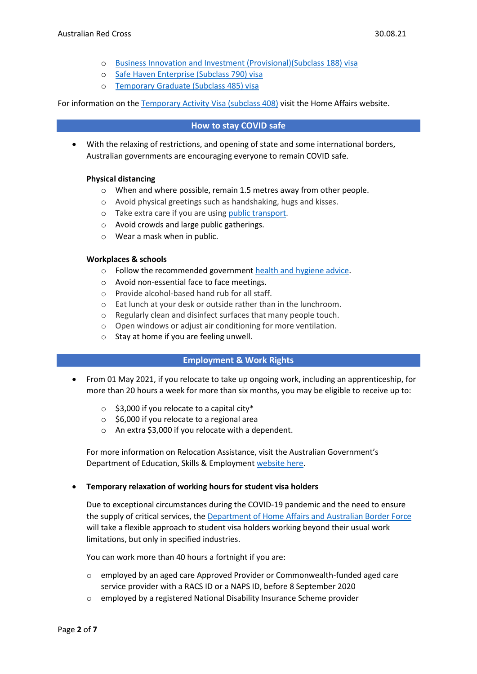- o [Business Innovation and Investment \(Provisional\)\(Subclass 188\) visa](https://immi.homeaffairs.gov.au/visas/getting-a-visa/visa-listing/business-innovation-and-investment-188)
- o [Safe Haven Enterprise \(Subclass 790\) visa](https://immi.homeaffairs.gov.au/visas/getting-a-visa/visa-listing/safe-haven-enterprise-790/safe-haven-enterprise-visa-pathway)
- o [Temporary Graduate \(Subclass 485\) visa](https://immi.homeaffairs.gov.au/visas/getting-a-visa/visa-listing/temporary-graduate-485)

For information on the [Temporary Activity Visa \(subclass 408\)](https://immi.homeaffairs.gov.au/visas/getting-a-visa/visa-listing/temporary-activity-408/australian-government-endorsed-events#Overview) visit the Home Affairs website.

#### **How to stay COVID safe**

• With the relaxing of restrictions, and opening of state and some international borders, Australian governments are encouraging everyone to remain COVID safe.

# **Physical distancing**

- $\circ$  When and where possible, remain 1.5 metres away from other people.
- o Avoid physical greetings such as handshaking, hugs and kisses.
- o Take extra care if you are using [public transport.](https://www.infrastructure.gov.au/transport/files/covid19_public_transport_principles_29052020.pdf)
- o Avoid crowds and large public gatherings.
- o Wear a mask when in public.

#### **Workplaces & schools**

- o Follow the recommended government [health and hygiene advice.](https://www.health.gov.au/news/health-alerts/novel-coronavirus-2019-ncov-health-alert/how-to-protect-yourself-and-others-from-coronavirus-covid-19/good-hygiene-for-coronavirus-covid-19)
- o Avoid non-essential face to face meetings.
- o Provide alcohol-based hand rub for all staff.
- o Eat lunch at your desk or outside rather than in the lunchroom.
- o Regularly clean and disinfect surfaces that many people touch.
- o Open windows or adjust air conditioning for more ventilation.
- o Stay at home if you are feeling unwell.

# **Employment & Work Rights**

- From 01 May 2021, if you relocate to take up ongoing work, including an apprenticeship, for more than 20 hours a week for more than six months, you may be eligible to receive up to:
	- $\circ$  \$3,000 if you relocate to a capital city\*
	- o \$6,000 if you relocate to a regional area
	- o An extra \$3,000 if you relocate with a dependent.

For more information on Relocation Assistance, visit the Australian Government's Department of Education, Skills & Employmen[t website here.](https://www.dese.gov.au/rattuaj)

#### • **Temporary relaxation of working hours for student visa holders**

Due to exceptional circumstances during the COVID-19 pandemic and the need to ensure the supply of critical services, the [Department of Home Affairs and Australian Border Force](https://immi.homeaffairs.gov.au/visas/getting-a-visa/visa-listing/student-500/temporary-relaxation-of-working-hours-for-student-visa-holders) will take a flexible approach to student visa holders working beyond their usual work limitations, but only in specified industries.

You can work more than 40 hours a fortnight if you are:

- o employed by an aged care Approved Provider or Commonwealth-funded aged care service provider with a RACS ID or a NAPS ID, before 8 September 2020
- o employed by a registered National Disability Insurance Scheme provider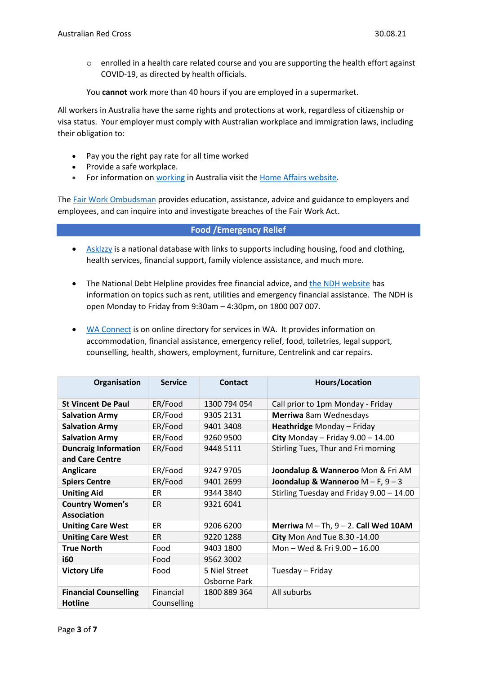o enrolled in a health care related course and you are supporting the health effort against COVID-19, as directed by health officials.

You **cannot** work more than 40 hours if you are employed in a supermarket.

All workers in Australia have the same rights and protections at work, regardless of citizenship or visa status. Your employer must comply with Australian workplace and immigration laws, including their obligation to:

- Pay you the right pay rate for all time worked
- Provide a safe workplace.
- For information on [working](https://immi.homeaffairs.gov.au/visas/getting-a-visa/visa-listing/student-500/temporary-relaxation-of-working-hours-for-student-visa-holders) in Australia visit the [Home Affairs website.](https://immi.homeaffairs.gov.au/visas/working-in-australia)

The Fair Work [Ombudsman](https://www.fairwork.gov.au/) provides education, assistance, advice and guidance to employers and employees, and can inquire into and investigate breaches of the Fair Work Act.

# **Food /Emergency Relief**

- [AskIzzy](https://askizzy.org.au/) is a national database with links to supports including housing, food and clothing, health services, financial support, family violence assistance, and much more.
- The National Debt Helpline provides free financial advice, and [the NDH website](https://ndh.org.au/) has information on topics such as rent, utilities and emergency financial assistance. The NDH is open Monday to Friday from 9:30am – 4:30pm, on 1800 007 007.
- WA [Connect](http://www.erconnect.org.au/) is on online directory for services in WA. It provides information on accommodation, financial assistance, emergency relief, food, toiletries, legal support, counselling, health, showers, employment, furniture, Centrelink and car repairs.

| Organisation                                   | <b>Service</b>           | <b>Contact</b> | <b>Hours/Location</b>                      |
|------------------------------------------------|--------------------------|----------------|--------------------------------------------|
| <b>St Vincent De Paul</b>                      | ER/Food                  | 1300 794 054   | Call prior to 1pm Monday - Friday          |
| <b>Salvation Army</b>                          | ER/Food                  | 9305 2131      | Merriwa 8am Wednesdays                     |
| <b>Salvation Army</b>                          | ER/Food                  | 9401 3408      | Heathridge Monday - Friday                 |
| <b>Salvation Army</b>                          | ER/Food                  | 9260 9500      | City Monday - Friday $9.00 - 14.00$        |
| <b>Duncraig Information</b>                    | ER/Food                  | 9448 5111      | Stirling Tues, Thur and Fri morning        |
| and Care Centre                                |                          |                |                                            |
| <b>Anglicare</b>                               | ER/Food                  | 9247 9705      | Joondalup & Wanneroo Mon & Fri AM          |
| <b>Spiers Centre</b>                           | ER/Food                  | 9401 2699      | Joondalup & Wanneroo $M - F$ , $9 - 3$     |
| <b>Uniting Aid</b>                             | ER.                      | 9344 3840      | Stirling Tuesday and Friday 9.00 - 14.00   |
| <b>Country Women's</b>                         | ER                       | 9321 6041      |                                            |
| <b>Association</b>                             |                          |                |                                            |
| <b>Uniting Care West</b>                       | <b>ER</b>                | 9206 6200      | Merriwa $M - Th$ , $9 - 2$ . Call Wed 10AM |
| <b>Uniting Care West</b>                       | ER                       | 9220 1288      | City Mon And Tue 8.30 -14.00               |
| <b>True North</b>                              | Food                     | 9403 1800      | Mon - Wed & Fri 9.00 - 16.00               |
| <b>i60</b>                                     | Food                     | 9562 3002      |                                            |
| <b>Victory Life</b>                            | Food                     | 5 Niel Street  | Tuesday – Friday                           |
|                                                |                          | Osborne Park   |                                            |
| <b>Financial Counselling</b><br><b>Hotline</b> | Financial<br>Counselling | 1800 889 364   | All suburbs                                |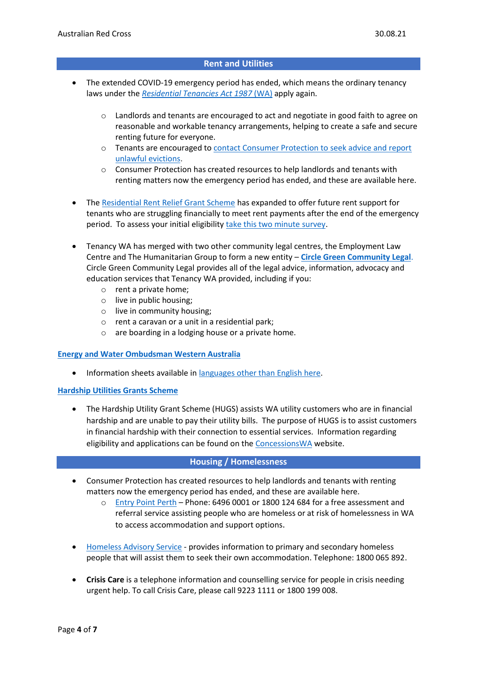# **Rent and Utilities**

- The extended COVID-19 emergency period has ended, which means the ordinary tenancy laws under the *[Residential Tenancies Act 1987](https://www.legislation.wa.gov.au/legislation/statutes.nsf/main_mrtitle_821_homepage.html)* (WA) apply again.
	- $\circ$  Landlords and tenants are encouraged to act and negotiate in good faith to agree on reasonable and workable tenancy arrangements, helping to create a safe and secure renting future for everyone.
	- o Tenants are encouraged to [contact Consumer Protection to seek advice and report](https://www.commerce.wa.gov.au/announcements/tenants-urged-seek-advice-and-report-unlawful-evictions)  [unlawful evictions.](https://www.commerce.wa.gov.au/announcements/tenants-urged-seek-advice-and-report-unlawful-evictions)
	- o Consumer Protection has created resources to help landlords and tenants with renting matters now the emergency period has ended, and these are available here.
- The [Residential Rent Relief Grant Scheme](https://www.commerce.wa.gov.au/consumer-protection/residential-rent-relief-grant-scheme) has expanded to offer future rent support for tenants who are struggling financially to meet rent payments after the end of the emergency period. To assess your initial eligibility [take this two minute survey.](https://www.surveymonkey.com/r/RRRGSTool)
- Tenancy WA has merged with two other community legal centres, the Employment Law Centre and The Humanitarian Group to form a new entity – **[Circle Green Community Legal](https://circlegreen.org.au/)**. Circle Green Community Legal provides all of the legal advice, information, advocacy and education services that Tenancy WA provided, including if you:
	- o rent a private home;
	- o live in public housing;
	- o live in community housing;
	- o rent a caravan or a unit in a residential park;
	- o are boarding in a lodging house or a private home.

#### **[Energy and Water Ombudsman Western Australia](http://www.ombudsman.wa.gov.au/ewowa/community/community.htm)**

• Information sheets available in [languages other than English here.](http://www.ombudsman.wa.gov.au/ewowa/languages/languages.htm)

#### **[Hardship Utilities Grants Scheme](https://concessions.communities.wa.gov.au/Concessions/Pages/HUGS-(Hardship-Utility-Grant-Scheme).aspx)**

• The Hardship Utility Grant Scheme (HUGS) assists WA utility customers who are in financial hardship and are unable to pay their utility bills. The purpose of HUGS is to assist customers in financial hardship with their connection to essential services. Information regarding eligibility and applications can be found on the [ConcessionsWA](https://concessions.communities.wa.gov.au/Concessions/Pages/HUGS-(Hardship-Utility-Grant-Scheme).aspx) website.

#### **Housing / Homelessness**

- Consumer Protection has created resources to help landlords and tenants with renting matters now the emergency period has ended, and these are available here.
	- o [Entry Point Perth](file://///rcau.org.au/Citrix/FolderRedirection/nhoagland/AppData/Roaming/Microsoft/Word/entrypointperth.com.au) Phone: 6496 0001 or 1800 124 684 for a free assessment and referral service assisting people who are homeless or at risk of homelessness in WA to access accommodation and support options.
- [Homeless Advisory Service](http://www.dcp.wa.gov.au/CrisisAndEmergency/Pages/CrisisHomelessnessServices.aspx) provides information to primary and secondary homeless people that will assist them to seek their own accommodation. Telephone: 1800 065 892.
- **Crisis Care** is a telephone information and counselling service for people in crisis needing urgent help. To call Crisis Care, please call 9223 1111 or 1800 199 008.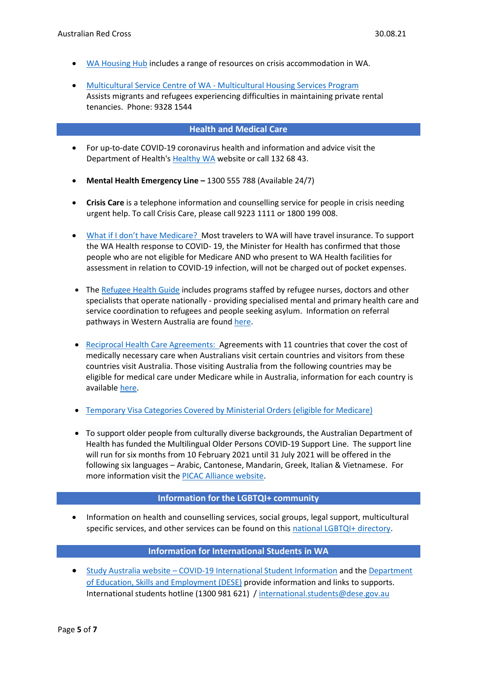- [WA Housing](http://options.wahousinghub.org.au/places/crisis-accommodation/) Hub includes a range of resources on crisis accommodation in WA.
- Multicultural Service Centre of WA [Multicultural Housing Services Program](http://mscwa.com.au/our-programs/multicultural-housing-services-program/) Assists migrants and refugees experiencing difficulties in maintaining private rental tenancies. Phone: 9328 1544

# **Health and Medical Care**

- For up-to-date COVID-19 coronavirus health and information and advice visit the Department of Health's [Healthy WA](https://healthywa.wa.gov.au/) website or call 132 68 43.
- **Mental Health Emergency Line –** 1300 555 788 (Available 24/7)
- **Crisis Care** is a telephone information and counselling service for people in crisis needing urgent help. To call Crisis Care, please call 9223 1111 or 1800 199 008.
- [What if I don't have Medicare?](https://ww2.health.wa.gov.au/~/media/Files/Corporate/general%20documents/Infectious%20diseases/PDF/Coronavirus/coronavirus-faqs.pdf#page=3) Most travelers to WA will have travel insurance. To support the WA Health response to COVID- 19, the Minister for Health has confirmed that those people who are not eligible for Medicare AND who present to WA Health facilities for assessment in relation to COVID-19 infection, will not be charged out of pocket expenses.
- Th[e Refugee Health Guide](https://refugeehealthguide.org.au/referrals) includes programs staffed by refugee nurses, doctors and other specialists that operate nationally - providing specialised mental and primary health care and service coordination to refugees and people seeking asylum. Information on referral pathways in Western Australia are foun[d here.](https://refugeehealthguide.org.au/referrals/western-australia/)
- [Reciprocal Health Care Agreements:](https://www.servicesaustralia.gov.au/individuals/services/medicare/reciprocal-health-care-agreements) Agreements with 11 countries that cover the cost of medically necessary care when Australians visit certain countries and visitors from these countries visit Australia. Those visiting Australia from the following countries may be eligible for medical care under Medicare while in Australia, information for each country is available [here.](https://www.servicesaustralia.gov.au/individuals/services/medicare/reciprocal-health-care-agreements/when-you-visit-australia)
- [Temporary Visa Categories Covered by Ministerial Orders \(eligible for Medicare\)](https://www.servicesaustralia.gov.au/individuals/subjects/how-enrol-and-get-started-medicare/enrolling-medicare/how-enrol-medicare-if-youre-temporary-resident-covered-ministerial-order)
- To support older people from culturally diverse backgrounds, the Australian Department of Health has funded the Multilingual Older Persons COVID-19 Support Line. The support line will run for six months from 10 February 2021 until 31 July 2021 will be offered in the following six languages – Arabic, Cantonese, Mandarin, Greek, Italian & Vietnamese. For more information visit the [PICAC Alliance website.](http://www.picacalliance.org/multilingual-older-persons-covid-19-support-line/)

#### **Information for the LGBTQI+ community**

• Information on health and counselling services, social groups, legal support, multicultural specific services, and other services can be found on this [national LGBTQI+ directory.](https://docs.google.com/spreadsheets/d/1CTv8NSkImdhclvS_ZJ61t1k33KPE5f4PF0wWApP6aFk/edit#gid=1868596043)

# **Information for International Students in WA**

• Study Australia website – [COVID-19 International Student Information](https://www.studyinaustralia.gov.au/English/student-support) and the [Department](https://www.dese.gov.au/covid-19/international-students)  [of Education, Skills and Employment \(DESE\)](https://www.dese.gov.au/covid-19/international-students) provide information and links to supports. International students hotline (1300 981 621) / [international.students@dese.gov.au](mailto:international.students@dese.gov.au)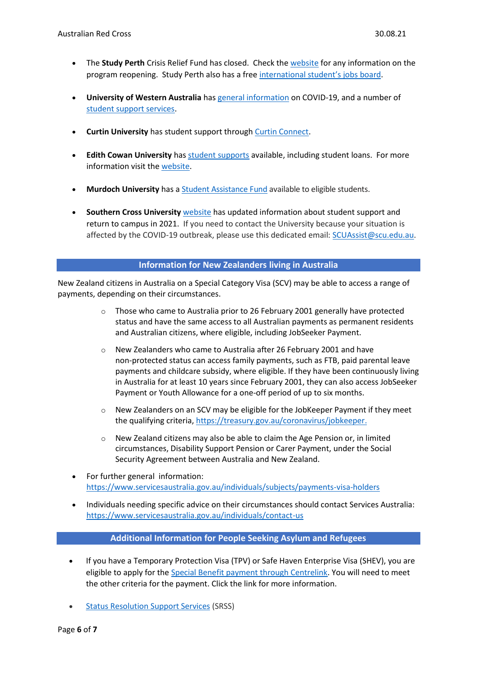- The **Study Perth** Crisis Relief Fund has closed. Check th[e website](https://www.studyperth.com.au/covid-19-information/) for any information on the program reopening. Study Perth also has a fre[e international](https://jobs.studyperth.com.au/?_ga=2.106416903.546237401.1610325166-770689733.1610325166) student's jobs board.
- **University of Western Australia** ha[s general information](https://www.web.uwa.edu.au/novel-coronavirus) on COVID-19, and a number of [student support services.](https://www.uwa.edu.au/students/need-help/care-and-support)
- **Curtin University** has student support through [Curtin Connect.](https://students.connect.curtin.edu.au/app/answers/detail/a_id/1721/kw/curtin%20connect)
- **Edith Cowan University** has [student supports](https://www.ecu.edu.au/covid-19/information-for-students#supportForStudents) available, including student loans. For more information visit th[e website.](https://www.ecu.edu.au/covid-19/overview)
- **Murdoch University** has a [Student Assistance Fund](https://www.murdoch.edu.au/mymurdoch/support-advice/student-admin/fees-and-finances/covid-19-student-support-package) available to eligible students.
- **Southern Cross University** [website](https://www.scu.edu.au/coronavirus/information-for-students/) has updated information about student support and return to campus in 2021. If you need to contact the University because your situation is affected by the COVID-19 outbreak, please use this dedicated email: [SCUAssist@scu.edu.au.](mailto:SCUAssist@scu.edu.au)

# **Information for New Zealanders living in Australia**

New Zealand citizens in Australia on a Special Category Visa (SCV) may be able to access a range of payments, depending on their circumstances.

- $\circ$  Those who came to Australia prior to 26 February 2001 generally have protected status and have the same access to all Australian payments as permanent residents and Australian citizens, where eligible, including JobSeeker Payment.
- o New Zealanders who came to Australia after 26 February 2001 and have non-protected status can access family payments, such as FTB, paid parental leave payments and childcare subsidy, where eligible. If they have been continuously living in Australia for at least 10 years since February 2001, they can also access JobSeeker Payment or Youth Allowance for a one-off period of up to six months.
- $\circ$  New Zealanders on an SCV may be eligible for the JobKeeper Payment if they meet the qualifying criteria[, https://treasury.gov.au/coronavirus/jobkeeper.](https://treasury.gov.au/coronavirus/jobkeeper)
- o New Zealand citizens may also be able to claim the Age Pension or, in limited circumstances, Disability Support Pension or Carer Payment, under the Social Security Agreement between Australia and New Zealand.
- For further general information: <https://www.servicesaustralia.gov.au/individuals/subjects/payments-visa-holders>
- Individuals needing specific advice on their circumstances should contact Services Australia: <https://www.servicesaustralia.gov.au/individuals/contact-us>

# **Additional Information for People Seeking Asylum and Refugees**

- If you have a Temporary Protection Visa (TPV) or Safe Haven Enterprise Visa (SHEV), you are eligible to apply for th[e Special Benefit payment through Centrelink.](https://www.servicesaustralia.gov.au/individuals/services/centrelink/special-benefit) You will need to meet the other criteria for the payment. Click the link for more information.
- [Status Resolution Support Services](https://immi.homeaffairs.gov.au/what-we-do/status-resolution-service/status-resolution-support-services) (SRSS)